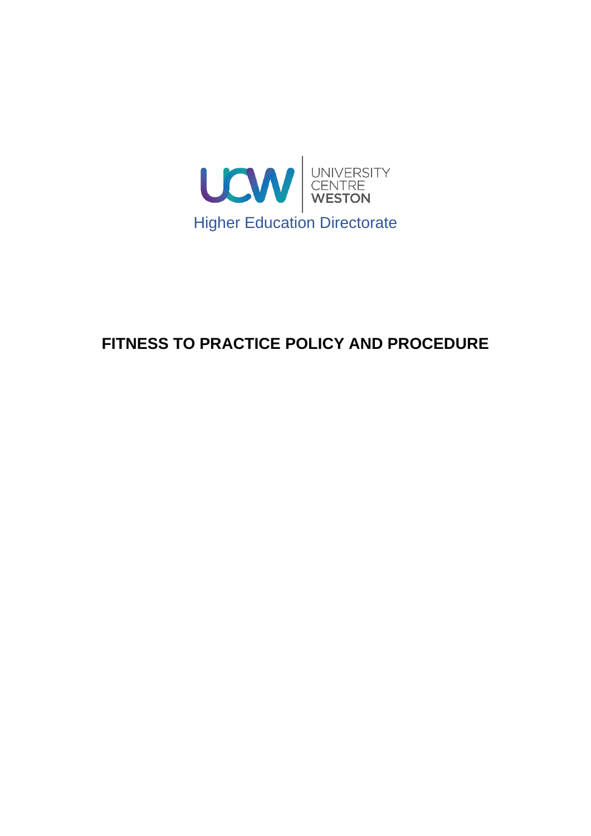

# **FITNESS TO PRACTICE POLICY AND PROCEDURE**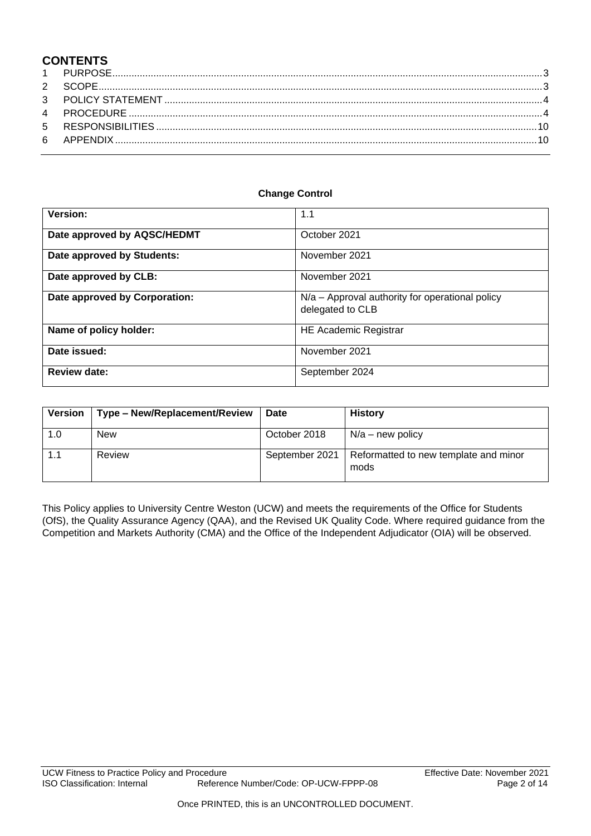# **CONTENTS**

#### **Change Control**

| Version:                      | 1.1                                                                 |  |
|-------------------------------|---------------------------------------------------------------------|--|
| Date approved by AQSC/HEDMT   | October 2021                                                        |  |
| Date approved by Students:    | November 2021                                                       |  |
| Date approved by CLB:         | November 2021                                                       |  |
| Date approved by Corporation: | N/a – Approval authority for operational policy<br>delegated to CLB |  |
| Name of policy holder:        | <b>HE Academic Registrar</b>                                        |  |
| Date issued:                  | November 2021                                                       |  |
| <b>Review date:</b>           | September 2024                                                      |  |

| <b>Version</b> | Type - New/Replacement/Review | <b>Date</b>    | <b>History</b>                                |
|----------------|-------------------------------|----------------|-----------------------------------------------|
| 1.0            | New                           | October 2018   | $N/a$ – new policy                            |
|                | Review                        | September 2021 | Reformatted to new template and minor<br>mods |

This Policy applies to University Centre Weston (UCW) and meets the requirements of the Office for Students (OfS), the Quality Assurance Agency (QAA), and the Revised UK Quality Code. Where required guidance from the Competition and Markets Authority (CMA) and the Office of the Independent Adjudicator (OIA) will be observed.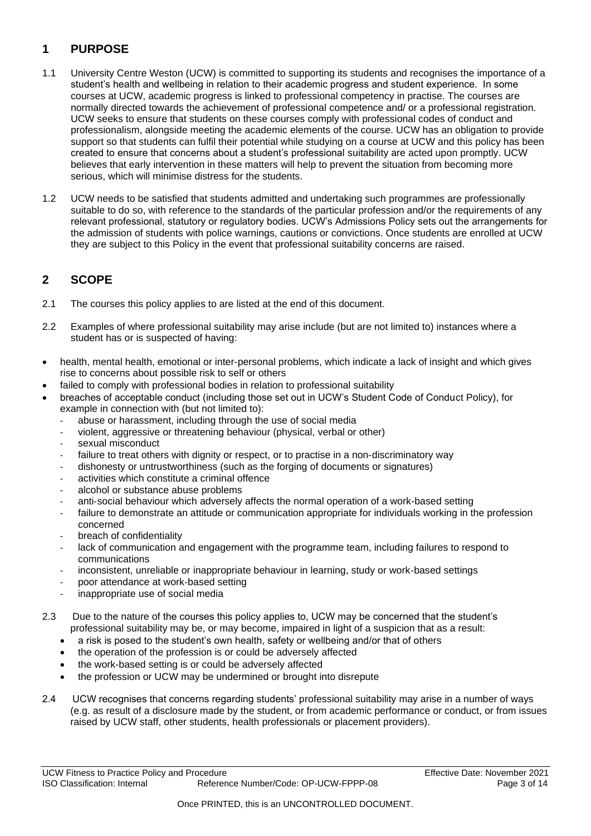# <span id="page-2-0"></span>**1 PURPOSE**

- 1.1 University Centre Weston (UCW) is committed to supporting its students and recognises the importance of a student's health and wellbeing in relation to their academic progress and student experience. In some courses at UCW, academic progress is linked to professional competency in practise. The courses are normally directed towards the achievement of professional competence and/ or a professional registration. UCW seeks to ensure that students on these courses comply with professional codes of conduct and professionalism, alongside meeting the academic elements of the course. UCW has an obligation to provide support so that students can fulfil their potential while studying on a course at UCW and this policy has been created to ensure that concerns about a student's professional suitability are acted upon promptly. UCW believes that early intervention in these matters will help to prevent the situation from becoming more serious, which will minimise distress for the students.
- 1.2 UCW needs to be satisfied that students admitted and undertaking such programmes are professionally suitable to do so, with reference to the standards of the particular profession and/or the requirements of any relevant professional, statutory or regulatory bodies. UCW's Admissions Policy sets out the arrangements for the admission of students with police warnings, cautions or convictions. Once students are enrolled at UCW they are subject to this Policy in the event that professional suitability concerns are raised.

# <span id="page-2-1"></span>**2 SCOPE**

- 2.1 The courses this policy applies to are listed at the end of this document.
- 2.2 Examples of where professional suitability may arise include (but are not limited to) instances where a student has or is suspected of having:
- health, mental health, emotional or inter-personal problems, which indicate a lack of insight and which gives rise to concerns about possible risk to self or others
- failed to comply with professional bodies in relation to professional suitability
- breaches of acceptable conduct (including those set out in UCW's Student Code of Conduct Policy), for example in connection with (but not limited to):
	- abuse or harassment, including through the use of social media
	- violent, aggressive or threatening behaviour (physical, verbal or other)
	- sexual misconduct
	- failure to treat others with dignity or respect, or to practise in a non-discriminatory way
	- dishonesty or untrustworthiness (such as the forging of documents or signatures)
	- activities which constitute a criminal offence
	- alcohol or substance abuse problems
	- anti‐social behaviour which adversely affects the normal operation of a work-based setting
	- failure to demonstrate an attitude or communication appropriate for individuals working in the profession concerned
	- breach of confidentiality
	- lack of communication and engagement with the programme team, including failures to respond to communications
	- inconsistent, unreliable or inappropriate behaviour in learning, study or work‐based settings
	- poor attendance at work‐based setting
	- inappropriate use of social media
- 2.3 Due to the nature of the courses this policy applies to, UCW may be concerned that the student's professional suitability may be, or may become, impaired in light of a suspicion that as a result:
	- a risk is posed to the student's own health, safety or wellbeing and/or that of others
	- the operation of the profession is or could be adversely affected
	- the work-based setting is or could be adversely affected
	- the profession or UCW may be undermined or brought into disrepute
- 2.4 UCW recognises that concerns regarding students' professional suitability may arise in a number of ways (e.g. as result of a disclosure made by the student, or from academic performance or conduct, or from issues raised by UCW staff, other students, health professionals or placement providers).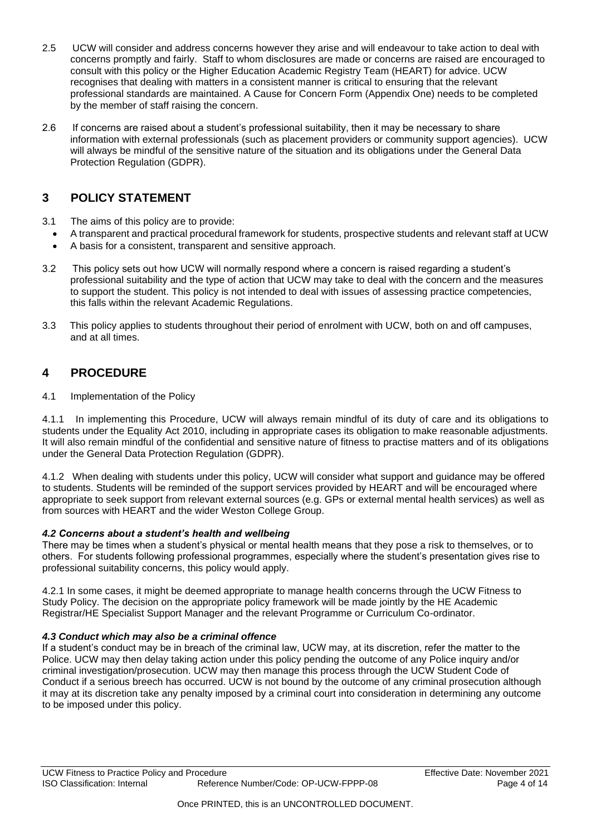- 2.5 UCW will consider and address concerns however they arise and will endeavour to take action to deal with concerns promptly and fairly. Staff to whom disclosures are made or concerns are raised are encouraged to consult with this policy or the Higher Education Academic Registry Team (HEART) for advice. UCW recognises that dealing with matters in a consistent manner is critical to ensuring that the relevant professional standards are maintained. A Cause for Concern Form (Appendix One) needs to be completed by the member of staff raising the concern.
- 2.6 If concerns are raised about a student's professional suitability, then it may be necessary to share information with external professionals (such as placement providers or community support agencies). UCW will always be mindful of the sensitive nature of the situation and its obligations under the General Data Protection Regulation (GDPR).

### <span id="page-3-0"></span>**3 POLICY STATEMENT**

- 3.1 The aims of this policy are to provide:
	- A transparent and practical procedural framework for students, prospective students and relevant staff at UCW
	- A basis for a consistent, transparent and sensitive approach.
- 3.2 This policy sets out how UCW will normally respond where a concern is raised regarding a student's professional suitability and the type of action that UCW may take to deal with the concern and the measures to support the student. This policy is not intended to deal with issues of assessing practice competencies, this falls within the relevant Academic Regulations.
- 3.3 This policy applies to students throughout their period of enrolment with UCW, both on and off campuses, and at all times.

# <span id="page-3-1"></span>**4 PROCEDURE**

4.1 Implementation of the Policy

4.1.1 In implementing this Procedure, UCW will always remain mindful of its duty of care and its obligations to students under the Equality Act 2010, including in appropriate cases its obligation to make reasonable adjustments. It will also remain mindful of the confidential and sensitive nature of fitness to practise matters and of its obligations under the General Data Protection Regulation (GDPR).

4.1.2 When dealing with students under this policy, UCW will consider what support and guidance may be offered to students. Students will be reminded of the support services provided by HEART and will be encouraged where appropriate to seek support from relevant external sources (e.g. GPs or external mental health services) as well as from sources with HEART and the wider Weston College Group.

### *4.2 Concerns about a student's health and wellbeing*

There may be times when a student's physical or mental health means that they pose a risk to themselves, or to others. For students following professional programmes, especially where the student's presentation gives rise to professional suitability concerns, this policy would apply.

4.2.1 In some cases, it might be deemed appropriate to manage health concerns through the UCW Fitness to Study Policy. The decision on the appropriate policy framework will be made jointly by the HE Academic Registrar/HE Specialist Support Manager and the relevant Programme or Curriculum Co-ordinator.

### *4.3 Conduct which may also be a criminal offence*

If a student's conduct may be in breach of the criminal law, UCW may, at its discretion, refer the matter to the Police. UCW may then delay taking action under this policy pending the outcome of any Police inquiry and/or criminal investigation/prosecution. UCW may then manage this process through the UCW Student Code of Conduct if a serious breech has occurred. UCW is not bound by the outcome of any criminal prosecution although it may at its discretion take any penalty imposed by a criminal court into consideration in determining any outcome to be imposed under this policy.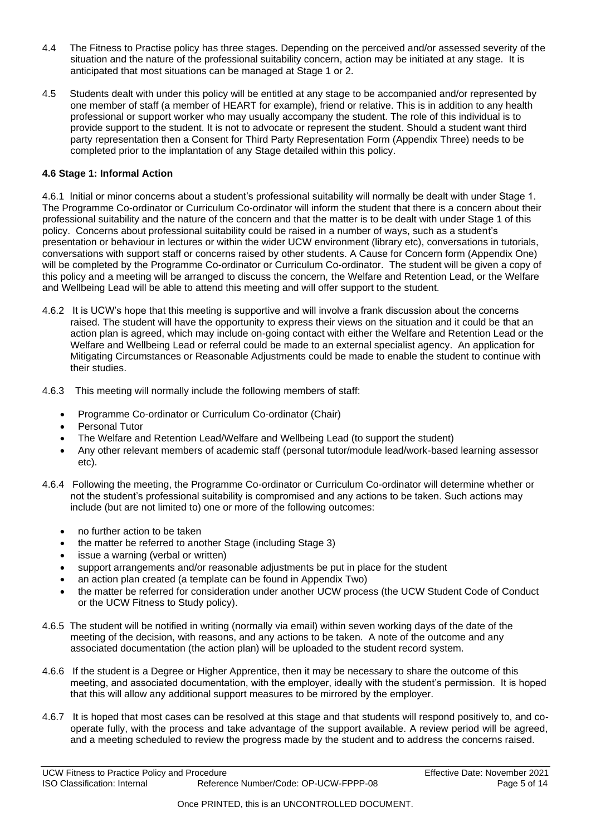- 4.4 The Fitness to Practise policy has three stages. Depending on the perceived and/or assessed severity of the situation and the nature of the professional suitability concern, action may be initiated at any stage. It is anticipated that most situations can be managed at Stage 1 or 2.
- 4.5 Students dealt with under this policy will be entitled at any stage to be accompanied and/or represented by one member of staff (a member of HEART for example), friend or relative. This is in addition to any health professional or support worker who may usually accompany the student. The role of this individual is to provide support to the student. It is not to advocate or represent the student. Should a student want third party representation then a Consent for Third Party Representation Form (Appendix Three) needs to be completed prior to the implantation of any Stage detailed within this policy.

#### **4.6 Stage 1: Informal Action**

4.6.1 Initial or minor concerns about a student's professional suitability will normally be dealt with under Stage 1. The Programme Co-ordinator or Curriculum Co-ordinator will inform the student that there is a concern about their professional suitability and the nature of the concern and that the matter is to be dealt with under Stage 1 of this policy. Concerns about professional suitability could be raised in a number of ways, such as a student's presentation or behaviour in lectures or within the wider UCW environment (library etc), conversations in tutorials, conversations with support staff or concerns raised by other students. A Cause for Concern form (Appendix One) will be completed by the Programme Co-ordinator or Curriculum Co-ordinator. The student will be given a copy of this policy and a meeting will be arranged to discuss the concern, the Welfare and Retention Lead, or the Welfare and Wellbeing Lead will be able to attend this meeting and will offer support to the student.

- 4.6.2 It is UCW's hope that this meeting is supportive and will involve a frank discussion about the concerns raised. The student will have the opportunity to express their views on the situation and it could be that an action plan is agreed, which may include on-going contact with either the Welfare and Retention Lead or the Welfare and Wellbeing Lead or referral could be made to an external specialist agency. An application for Mitigating Circumstances or Reasonable Adjustments could be made to enable the student to continue with their studies.
- 4.6.3 This meeting will normally include the following members of staff:
	- Programme Co-ordinator or Curriculum Co-ordinator (Chair)
	- Personal Tutor
	- The Welfare and Retention Lead/Welfare and Wellbeing Lead (to support the student)
	- Any other relevant members of academic staff (personal tutor/module lead/work-based learning assessor etc).
- 4.6.4 Following the meeting, the Programme Co-ordinator or Curriculum Co-ordinator will determine whether or not the student's professional suitability is compromised and any actions to be taken. Such actions may include (but are not limited to) one or more of the following outcomes:
	- no further action to be taken
	- the matter be referred to another Stage (including Stage 3)
	- issue a warning (verbal or written)
	- support arrangements and/or reasonable adjustments be put in place for the student
	- an action plan created (a template can be found in Appendix Two)
	- the matter be referred for consideration under another UCW process (the UCW Student Code of Conduct or the UCW Fitness to Study policy).
- 4.6.5 The student will be notified in writing (normally via email) within seven working days of the date of the meeting of the decision, with reasons, and any actions to be taken. A note of the outcome and any associated documentation (the action plan) will be uploaded to the student record system.
- 4.6.6 If the student is a Degree or Higher Apprentice, then it may be necessary to share the outcome of this meeting, and associated documentation, with the employer, ideally with the student's permission. It is hoped that this will allow any additional support measures to be mirrored by the employer.
- 4.6.7 It is hoped that most cases can be resolved at this stage and that students will respond positively to, and cooperate fully, with the process and take advantage of the support available. A review period will be agreed, and a meeting scheduled to review the progress made by the student and to address the concerns raised.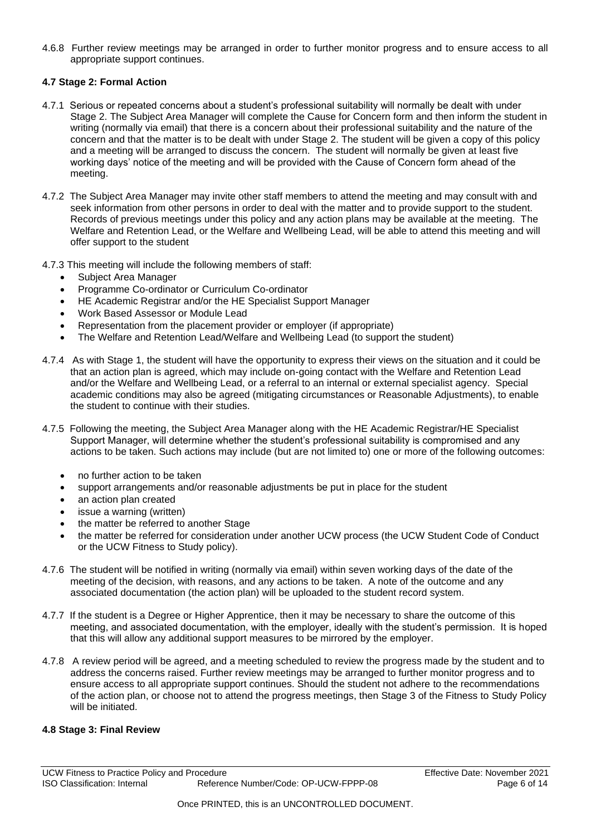4.6.8 Further review meetings may be arranged in order to further monitor progress and to ensure access to all appropriate support continues.

#### **4.7 Stage 2: Formal Action**

- 4.7.1 Serious or repeated concerns about a student's professional suitability will normally be dealt with under Stage 2. The Subject Area Manager will complete the Cause for Concern form and then inform the student in writing (normally via email) that there is a concern about their professional suitability and the nature of the concern and that the matter is to be dealt with under Stage 2. The student will be given a copy of this policy and a meeting will be arranged to discuss the concern. The student will normally be given at least five working days' notice of the meeting and will be provided with the Cause of Concern form ahead of the meeting.
- 4.7.2 The Subject Area Manager may invite other staff members to attend the meeting and may consult with and seek information from other persons in order to deal with the matter and to provide support to the student. Records of previous meetings under this policy and any action plans may be available at the meeting. The Welfare and Retention Lead, or the Welfare and Wellbeing Lead, will be able to attend this meeting and will offer support to the student

#### 4.7.3 This meeting will include the following members of staff:

- Subject Area Manager
- Programme Co-ordinator or Curriculum Co-ordinator
- HE Academic Registrar and/or the HE Specialist Support Manager
- Work Based Assessor or Module Lead
- Representation from the placement provider or employer (if appropriate)
- The Welfare and Retention Lead/Welfare and Wellbeing Lead (to support the student)
- 4.7.4 As with Stage 1, the student will have the opportunity to express their views on the situation and it could be that an action plan is agreed, which may include on-going contact with the Welfare and Retention Lead and/or the Welfare and Wellbeing Lead, or a referral to an internal or external specialist agency. Special academic conditions may also be agreed (mitigating circumstances or Reasonable Adjustments), to enable the student to continue with their studies.
- 4.7.5 Following the meeting, the Subject Area Manager along with the HE Academic Registrar/HE Specialist Support Manager, will determine whether the student's professional suitability is compromised and any actions to be taken. Such actions may include (but are not limited to) one or more of the following outcomes:
	- no further action to be taken
	- support arrangements and/or reasonable adjustments be put in place for the student
	- an action plan created
	- issue a warning (written)
	- the matter be referred to another Stage
	- the matter be referred for consideration under another UCW process (the UCW Student Code of Conduct or the UCW Fitness to Study policy).
- 4.7.6 The student will be notified in writing (normally via email) within seven working days of the date of the meeting of the decision, with reasons, and any actions to be taken. A note of the outcome and any associated documentation (the action plan) will be uploaded to the student record system.
- 4.7.7 If the student is a Degree or Higher Apprentice, then it may be necessary to share the outcome of this meeting, and associated documentation, with the employer, ideally with the student's permission. It is hoped that this will allow any additional support measures to be mirrored by the employer.
- 4.7.8 A review period will be agreed, and a meeting scheduled to review the progress made by the student and to address the concerns raised. Further review meetings may be arranged to further monitor progress and to ensure access to all appropriate support continues. Should the student not adhere to the recommendations of the action plan, or choose not to attend the progress meetings, then Stage 3 of the Fitness to Study Policy will be initiated.

#### **4.8 Stage 3: Final Review**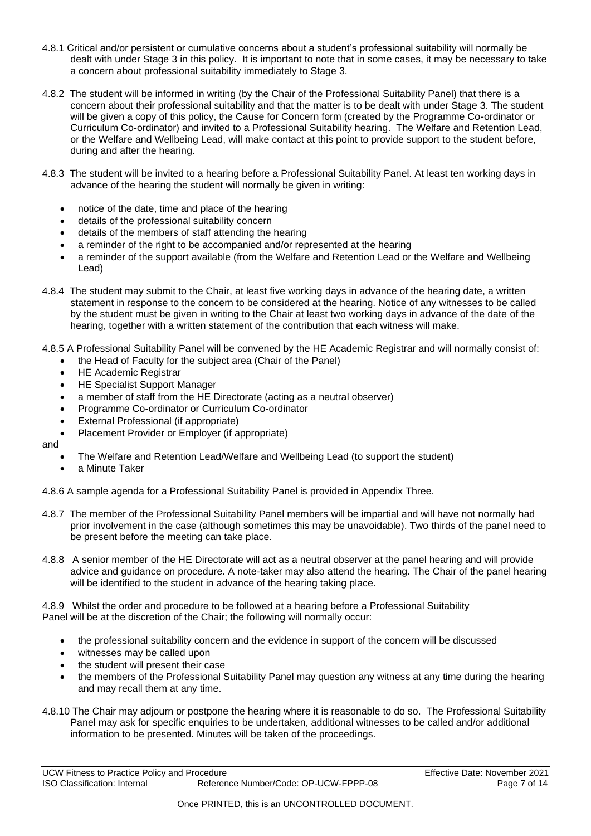- 4.8.1 Critical and/or persistent or cumulative concerns about a student's professional suitability will normally be dealt with under Stage 3 in this policy. It is important to note that in some cases, it may be necessary to take a concern about professional suitability immediately to Stage 3.
- 4.8.2 The student will be informed in writing (by the Chair of the Professional Suitability Panel) that there is a concern about their professional suitability and that the matter is to be dealt with under Stage 3. The student will be given a copy of this policy, the Cause for Concern form (created by the Programme Co-ordinator or Curriculum Co-ordinator) and invited to a Professional Suitability hearing. The Welfare and Retention Lead, or the Welfare and Wellbeing Lead, will make contact at this point to provide support to the student before, during and after the hearing.
- 4.8.3 The student will be invited to a hearing before a Professional Suitability Panel. At least ten working days in advance of the hearing the student will normally be given in writing:
	- notice of the date, time and place of the hearing
	- details of the professional suitability concern
	- details of the members of staff attending the hearing
	- a reminder of the right to be accompanied and/or represented at the hearing
	- a reminder of the support available (from the Welfare and Retention Lead or the Welfare and Wellbeing Lead)
- 4.8.4 The student may submit to the Chair, at least five working days in advance of the hearing date, a written statement in response to the concern to be considered at the hearing. Notice of any witnesses to be called by the student must be given in writing to the Chair at least two working days in advance of the date of the hearing, together with a written statement of the contribution that each witness will make.
- 4.8.5 A Professional Suitability Panel will be convened by the HE Academic Registrar and will normally consist of:
	- the Head of Faculty for the subject area (Chair of the Panel)
	- HE Academic Registrar
	- HE Specialist Support Manager
	- a member of staff from the HE Directorate (acting as a neutral observer)
	- Programme Co-ordinator or Curriculum Co-ordinator
	- External Professional (if appropriate)
	- Placement Provider or Employer (if appropriate)

and

- The Welfare and Retention Lead/Welfare and Wellbeing Lead (to support the student)
- a Minute Taker

4.8.6 A sample agenda for a Professional Suitability Panel is provided in Appendix Three.

- 4.8.7 The member of the Professional Suitability Panel members will be impartial and will have not normally had prior involvement in the case (although sometimes this may be unavoidable). Two thirds of the panel need to be present before the meeting can take place.
- 4.8.8 A senior member of the HE Directorate will act as a neutral observer at the panel hearing and will provide advice and guidance on procedure. A note‐taker may also attend the hearing. The Chair of the panel hearing will be identified to the student in advance of the hearing taking place.

4.8.9 Whilst the order and procedure to be followed at a hearing before a Professional Suitability Panel will be at the discretion of the Chair; the following will normally occur:

- the professional suitability concern and the evidence in support of the concern will be discussed
- witnesses may be called upon
- the student will present their case
- the members of the Professional Suitability Panel may question any witness at any time during the hearing and may recall them at any time.
- 4.8.10 The Chair may adjourn or postpone the hearing where it is reasonable to do so. The Professional Suitability Panel may ask for specific enquiries to be undertaken, additional witnesses to be called and/or additional information to be presented. Minutes will be taken of the proceedings.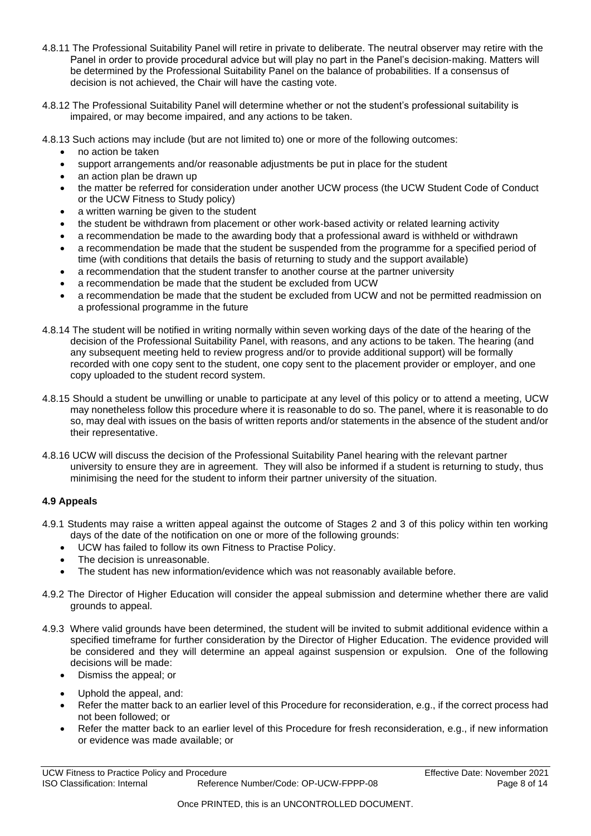- 4.8.11 The Professional Suitability Panel will retire in private to deliberate. The neutral observer may retire with the Panel in order to provide procedural advice but will play no part in the Panel's decision‐making. Matters will be determined by the Professional Suitability Panel on the balance of probabilities. If a consensus of decision is not achieved, the Chair will have the casting vote.
- 4.8.12 The Professional Suitability Panel will determine whether or not the student's professional suitability is impaired, or may become impaired, and any actions to be taken.

4.8.13 Such actions may include (but are not limited to) one or more of the following outcomes:

- no action be taken
- support arrangements and/or reasonable adjustments be put in place for the student
- an action plan be drawn up
- the matter be referred for consideration under another UCW process (the UCW Student Code of Conduct or the UCW Fitness to Study policy)
- a written warning be given to the student
- the student be withdrawn from placement or other work‐based activity or related learning activity
- a recommendation be made to the awarding body that a professional award is withheld or withdrawn
- a recommendation be made that the student be suspended from the programme for a specified period of time (with conditions that details the basis of returning to study and the support available)
- a recommendation that the student transfer to another course at the partner university
- a recommendation be made that the student be excluded from UCW
- a recommendation be made that the student be excluded from UCW and not be permitted readmission on a professional programme in the future
- 4.8.14 The student will be notified in writing normally within seven working days of the date of the hearing of the decision of the Professional Suitability Panel, with reasons, and any actions to be taken. The hearing (and any subsequent meeting held to review progress and/or to provide additional support) will be formally recorded with one copy sent to the student, one copy sent to the placement provider or employer, and one copy uploaded to the student record system.
- 4.8.15 Should a student be unwilling or unable to participate at any level of this policy or to attend a meeting, UCW may nonetheless follow this procedure where it is reasonable to do so. The panel, where it is reasonable to do so, may deal with issues on the basis of written reports and/or statements in the absence of the student and/or their representative.
- 4.8.16 UCW will discuss the decision of the Professional Suitability Panel hearing with the relevant partner university to ensure they are in agreement. They will also be informed if a student is returning to study, thus minimising the need for the student to inform their partner university of the situation.

#### **4.9 Appeals**

- 4.9.1 Students may raise a written appeal against the outcome of Stages 2 and 3 of this policy within ten working days of the date of the notification on one or more of the following grounds:
	- UCW has failed to follow its own Fitness to Practise Policy.
	- The decision is unreasonable.
	- The student has new information/evidence which was not reasonably available before.
- 4.9.2 The Director of Higher Education will consider the appeal submission and determine whether there are valid grounds to appeal.
- 4.9.3 Where valid grounds have been determined, the student will be invited to submit additional evidence within a specified timeframe for further consideration by the Director of Higher Education. The evidence provided will be considered and they will determine an appeal against suspension or expulsion. One of the following decisions will be made:
	- Dismiss the appeal; or
	- Uphold the appeal, and:
	- Refer the matter back to an earlier level of this Procedure for reconsideration, e.g., if the correct process had not been followed; or
	- Refer the matter back to an earlier level of this Procedure for fresh reconsideration, e.g., if new information or evidence was made available; or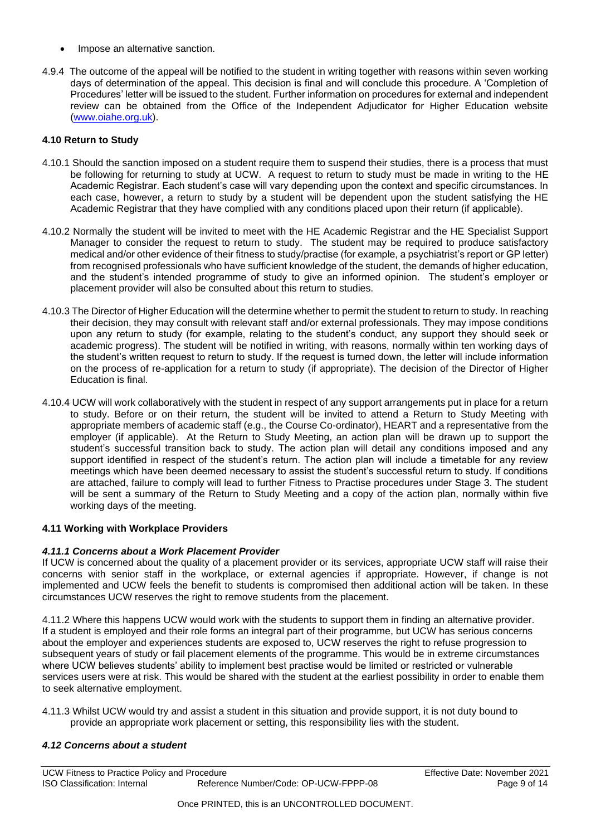- Impose an alternative sanction.
- 4.9.4 The outcome of the appeal will be notified to the student in writing together with reasons within seven working days of determination of the appeal. This decision is final and will conclude this procedure. A 'Completion of Procedures' letter will be issued to the student. Further information on procedures for external and independent review can be obtained from the Office of the Independent Adjudicator for Higher Education website [\(www.oiahe.org.uk\)](http://www.oiahe.org.uk/).

#### **4.10 Return to Study**

- 4.10.1 Should the sanction imposed on a student require them to suspend their studies, there is a process that must be following for returning to study at UCW. A request to return to study must be made in writing to the HE Academic Registrar. Each student's case will vary depending upon the context and specific circumstances. In each case, however, a return to study by a student will be dependent upon the student satisfying the HE Academic Registrar that they have complied with any conditions placed upon their return (if applicable).
- 4.10.2 Normally the student will be invited to meet with the HE Academic Registrar and the HE Specialist Support Manager to consider the request to return to study. The student may be required to produce satisfactory medical and/or other evidence of their fitness to study/practise (for example, a psychiatrist's report or GP letter) from recognised professionals who have sufficient knowledge of the student, the demands of higher education, and the student's intended programme of study to give an informed opinion. The student's employer or placement provider will also be consulted about this return to studies.
- 4.10.3 The Director of Higher Education will the determine whether to permit the student to return to study. In reaching their decision, they may consult with relevant staff and/or external professionals. They may impose conditions upon any return to study (for example, relating to the student's conduct, any support they should seek or academic progress). The student will be notified in writing, with reasons, normally within ten working days of the student's written request to return to study. If the request is turned down, the letter will include information on the process of re-application for a return to study (if appropriate). The decision of the Director of Higher Education is final.
- 4.10.4 UCW will work collaboratively with the student in respect of any support arrangements put in place for a return to study. Before or on their return, the student will be invited to attend a Return to Study Meeting with appropriate members of academic staff (e.g., the Course Co-ordinator), HEART and a representative from the employer (if applicable). At the Return to Study Meeting, an action plan will be drawn up to support the student's successful transition back to study. The action plan will detail any conditions imposed and any support identified in respect of the student's return. The action plan will include a timetable for any review meetings which have been deemed necessary to assist the student's successful return to study. If conditions are attached, failure to comply will lead to further Fitness to Practise procedures under Stage 3. The student will be sent a summary of the Return to Study Meeting and a copy of the action plan, normally within five working days of the meeting.

#### **4.11 Working with Workplace Providers**

#### *4.11.1 Concerns about a Work Placement Provider*

If UCW is concerned about the quality of a placement provider or its services, appropriate UCW staff will raise their concerns with senior staff in the workplace, or external agencies if appropriate. However, if change is not implemented and UCW feels the benefit to students is compromised then additional action will be taken. In these circumstances UCW reserves the right to remove students from the placement.

4.11.2 Where this happens UCW would work with the students to support them in finding an alternative provider. If a student is employed and their role forms an integral part of their programme, but UCW has serious concerns about the employer and experiences students are exposed to, UCW reserves the right to refuse progression to subsequent years of study or fail placement elements of the programme. This would be in extreme circumstances where UCW believes students' ability to implement best practise would be limited or restricted or vulnerable services users were at risk. This would be shared with the student at the earliest possibility in order to enable them to seek alternative employment.

4.11.3 Whilst UCW would try and assist a student in this situation and provide support, it is not duty bound to provide an appropriate work placement or setting, this responsibility lies with the student.

#### *4.12 Concerns about a student*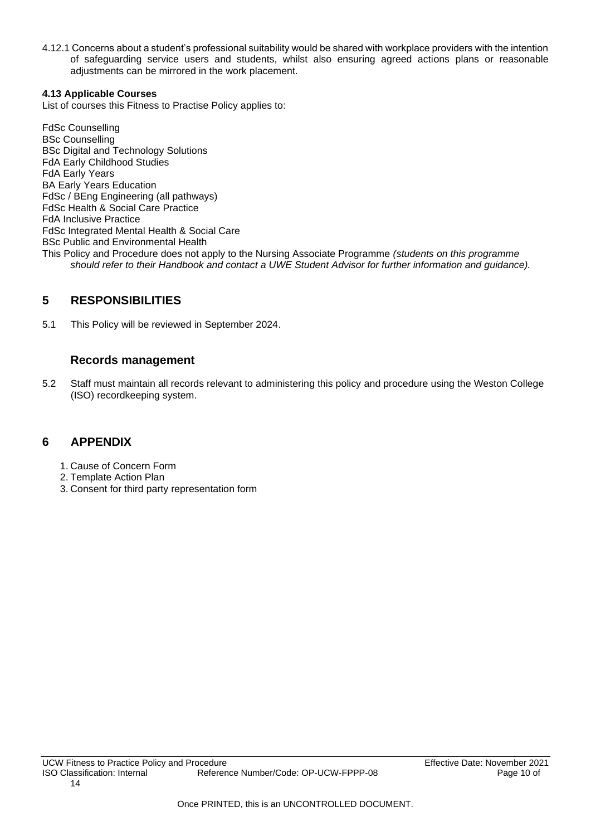4.12.1 Concerns about a student's professional suitability would be shared with workplace providers with the intention of safeguarding service users and students, whilst also ensuring agreed actions plans or reasonable adjustments can be mirrored in the work placement.

#### **4.13 Applicable Courses**

List of courses this Fitness to Practise Policy applies to:

FdSc Counselling BSc Counselling BSc Digital and Technology Solutions FdA Early Childhood Studies FdA Early Years BA Early Years Education FdSc / BEng Engineering (all pathways) FdSc Health & Social Care Practice FdA Inclusive Practice FdSc Integrated Mental Health & Social Care BSc Public and Environmental Health This Policy and Procedure does not apply to the Nursing Associate Programme *(students on this programme should refer to their Handbook and contact a UWE Student Advisor for further information and guidance).* 

### <span id="page-9-0"></span>**5 RESPONSIBILITIES**

5.1 This Policy will be reviewed in September 2024.

### **Records management**

5.2 Staff must maintain all records relevant to administering this policy and procedure using the Weston College (ISO) recordkeeping system.

### <span id="page-9-1"></span>**6 APPENDIX**

- 1. Cause of Concern Form
- 2. Template Action Plan
- 3. Consent for third party representation form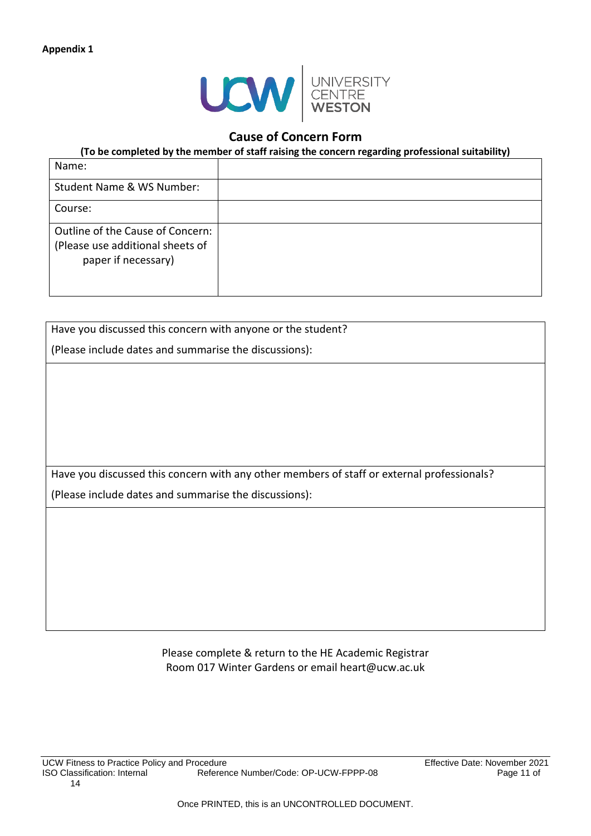

### **Cause of Concern Form**

**(To be completed by the member of staff raising the concern regarding professional suitability)**

| Name:                                                                                       |  |
|---------------------------------------------------------------------------------------------|--|
| Student Name & WS Number:                                                                   |  |
| Course:                                                                                     |  |
| Outline of the Cause of Concern:<br>(Please use additional sheets of<br>paper if necessary) |  |

| Have you discussed this concern with anyone or the student?                                |  |  |
|--------------------------------------------------------------------------------------------|--|--|
|                                                                                            |  |  |
| (Please include dates and summarise the discussions):                                      |  |  |
|                                                                                            |  |  |
|                                                                                            |  |  |
|                                                                                            |  |  |
|                                                                                            |  |  |
|                                                                                            |  |  |
|                                                                                            |  |  |
|                                                                                            |  |  |
|                                                                                            |  |  |
| Have you discussed this concern with any other members of staff or external professionals? |  |  |
| (Please include dates and summarise the discussions):                                      |  |  |
|                                                                                            |  |  |
|                                                                                            |  |  |
|                                                                                            |  |  |
|                                                                                            |  |  |
|                                                                                            |  |  |
|                                                                                            |  |  |

Please complete & return to the HE Academic Registrar Room 017 Winter Gardens or email heart@ucw.ac.uk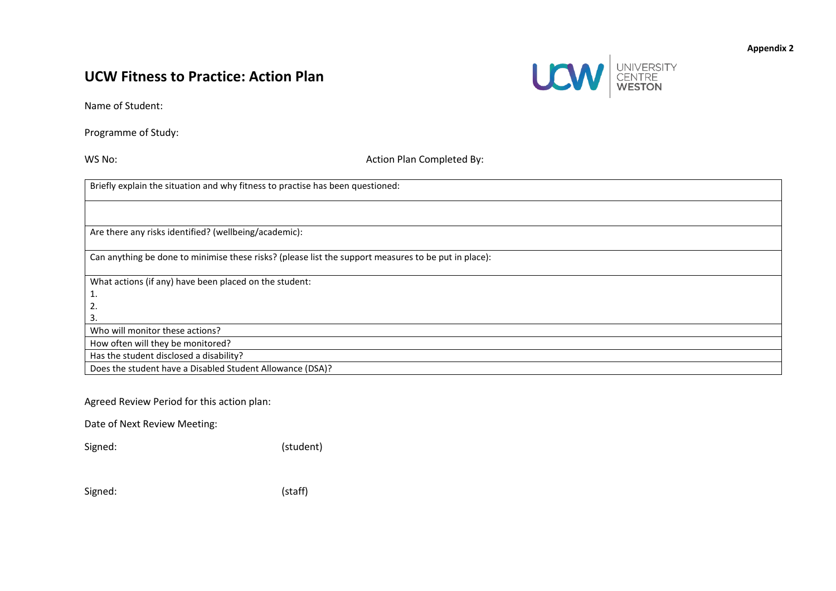# **UCW Fitness to Practice: Action Plan**



Name of Student:

Programme of Study:

WS No: WS No: Action Plan Completed By:

Briefly explain the situation and why fitness to practise has been questioned: Are there any risks identified? (wellbeing/academic): Can anything be done to minimise these risks? (please list the support measures to be put in place): What actions (if any) have been placed on the student: 1. 2. 3. Who will monitor these actions? How often will they be monitored? Has the student disclosed a disability? Does the student have a Disabled Student Allowance (DSA)?

Agreed Review Period for this action plan:

Date of Next Review Meeting:

Signed: (student)

(staff)

| Signed: |
|---------|
|---------|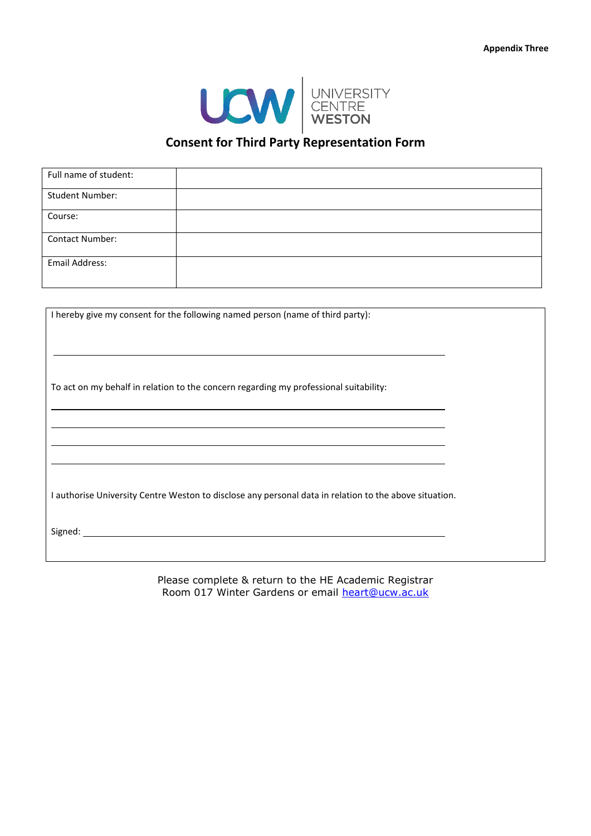

### **Consent for Third Party Representation Form**

| Full name of student:  |  |
|------------------------|--|
| <b>Student Number:</b> |  |
| Course:                |  |
| Contact Number:        |  |
| <b>Email Address:</b>  |  |
|                        |  |

I hereby give my consent for the following named person (name of third party):

To act on my behalf in relation to the concern regarding my professional suitability:

I authorise University Centre Weston to disclose any personal data in relation to the above situation.

Signed:

Please complete & return to the HE Academic Registrar Room 017 Winter Gardens or email [heart@ucw.ac.uk](mailto:he.unit@weston.ac.uk)